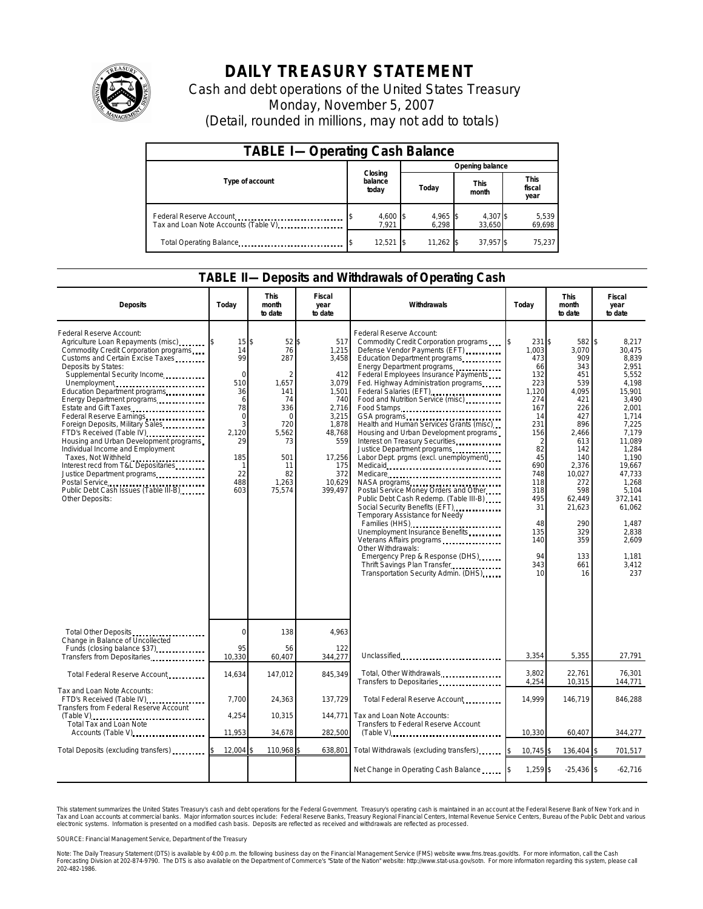

## **DAILY TREASURY STATEMENT**

Cash and debt operations of the United States Treasury Monday, November 5, 2007 (Detail, rounded in millions, may not add to totals)

| <b>TABLE I-Operating Cash Balance</b> |                             |                   |                      |                               |  |  |  |
|---------------------------------------|-----------------------------|-------------------|----------------------|-------------------------------|--|--|--|
|                                       |                             | Opening balance   |                      |                               |  |  |  |
| Type of account                       | Closing<br>balance<br>today | Today             | <b>This</b><br>month | <b>This</b><br>fiscal<br>year |  |  |  |
| Tax and Loan Note Accounts (Table V)  | 4,600 \$<br>7.921           | 4,965 \$<br>6.298 | 4,307 \$<br>33.650   | 5,539<br>69,698               |  |  |  |
| Total Operating Balance               | $12,521$  \$                | $11,262$ \$       | 37.957 \$            | 75.237                        |  |  |  |

## **TABLE II—Deposits and Withdrawals of Operating Cash**

| <b>Deposits</b>                                                                                                                                                                                                                                                                                                                                                                                                                                                                                                                                                                                                                                 | Today                                                                                                                  | <b>This</b><br>month<br>to date                                                                                     | Fiscal<br>year<br>to date                                                                                                                      | Withdrawals                                                                                                                                                                                                                                                                                                                                                                                                                                                                                                                                                                                                                                                                                                                                                                                                                                                                                                                                               | Today                                                                                                                                                                                  | <b>This</b><br>month<br>to date                                                                                                                                                                              | <b>Fiscal</b><br>vear<br>to date                                                                                                                                                                                                                      |  |
|-------------------------------------------------------------------------------------------------------------------------------------------------------------------------------------------------------------------------------------------------------------------------------------------------------------------------------------------------------------------------------------------------------------------------------------------------------------------------------------------------------------------------------------------------------------------------------------------------------------------------------------------------|------------------------------------------------------------------------------------------------------------------------|---------------------------------------------------------------------------------------------------------------------|------------------------------------------------------------------------------------------------------------------------------------------------|-----------------------------------------------------------------------------------------------------------------------------------------------------------------------------------------------------------------------------------------------------------------------------------------------------------------------------------------------------------------------------------------------------------------------------------------------------------------------------------------------------------------------------------------------------------------------------------------------------------------------------------------------------------------------------------------------------------------------------------------------------------------------------------------------------------------------------------------------------------------------------------------------------------------------------------------------------------|----------------------------------------------------------------------------------------------------------------------------------------------------------------------------------------|--------------------------------------------------------------------------------------------------------------------------------------------------------------------------------------------------------------|-------------------------------------------------------------------------------------------------------------------------------------------------------------------------------------------------------------------------------------------------------|--|
| Federal Reserve Account:<br>Agriculture Loan Repayments (misc)<br>Commodity Credit Corporation programs<br>Customs and Certain Excise Taxes<br>Deposits by States:<br>Supplemental Security Income<br>Unemployment<br>Education Department programs<br>Energy Department programs.<br>Estate and Gift Taxes<br>Federal Reserve Earnings<br>Foreign Deposits, Military Sales<br>FTD's Received (Table IV)<br>Housing and Urban Development programs<br>Individual Income and Employment<br>Taxes, Not Withheld<br>Interest recd from T&L Depositaries<br>Justice Department programs<br>Public Debt Cash Issues (Table III-B)<br>Other Deposits: | 15<br>14<br>99<br>$\Omega$<br>510<br>36<br>6<br>78<br>$\mathbf 0$<br>3<br>2.120<br>29<br>185<br>-1<br>22<br>488<br>603 | 52<br>\$<br>76<br>287<br>1,657<br>141<br>74<br>336<br>0<br>720<br>5.562<br>73<br>501<br>11<br>82<br>1,263<br>75,574 | 517<br>1,215<br>3,458<br>412<br>3,079<br>1,501<br>740<br>2.716<br>3,215<br>1,878<br>48.768<br>559<br>17,256<br>175<br>372<br>10,629<br>399,497 | Federal Reserve Account:<br>Commodity Credit Corporation programs<br>Defense Vendor Payments (EFT)<br>Education Department programs<br>Energy Department programs<br>Federal Employees Insurance Payments<br>Fed. Highway Administration programs<br>Federal Salaries (EFT)<br>Food and Nutrition Service (misc)<br>Food Stamps<br>Health and Human Services Grants (misc)<br>Housing and Urban Development programs<br>Interest on Treasury Securities<br>Justice Department programs<br>Labor Dept. prgms (excl. unemployment)<br>Medicare<br>NASA programs<br>Postal Service Money Orders and Other<br>Public Debt Cash Redemp. (Table III-B)<br>Social Security Benefits (EFT)<br>Temporary Assistance for Needy<br>Families (HHS)<br>Families (HHS)<br>Unemployment Insurance Benefits<br>Veterans Affairs programs<br>Other Withdrawals:<br>Emergency Prep & Response (DHS)<br>Thrift Savings Plan Transfer<br>Transportation Security Admin. (DHS) | 231 \$<br>1.003<br>473<br>66<br>132<br>223<br>1,120<br>274<br>167<br>14<br>231<br>156<br>2<br>82<br>45<br>690<br>748<br>118<br>318<br>495<br>31<br>48<br>135<br>140<br>94<br>343<br>10 | 582 \$<br>3.070<br>909<br>343<br>451<br>539<br>4.095<br>421<br>226<br>427<br>896<br>2.466<br>613<br>142<br>140<br>2,376<br>10,027<br>272<br>598<br>62,449<br>21,623<br>290<br>329<br>359<br>133<br>661<br>16 | 8.217<br>30.475<br>8.839<br>2.951<br>5.552<br>4,198<br>15.901<br>3.490<br>2.001<br>1,714<br>7,225<br>7.179<br>11,089<br>1,284<br>1.190<br>19.667<br>47,733<br>1,268<br>5.104<br>372,141<br>61,062<br>1,487<br>2,838<br>2,609<br>1,181<br>3,412<br>237 |  |
| Total Other Deposits<br>Change in Balance of Uncollected<br>Funds (closing balance \$37)                                                                                                                                                                                                                                                                                                                                                                                                                                                                                                                                                        | $\mathbf 0$<br>95                                                                                                      | 138<br>56                                                                                                           | 4,963<br>122                                                                                                                                   |                                                                                                                                                                                                                                                                                                                                                                                                                                                                                                                                                                                                                                                                                                                                                                                                                                                                                                                                                           |                                                                                                                                                                                        |                                                                                                                                                                                                              |                                                                                                                                                                                                                                                       |  |
| Transfers from Depositaries                                                                                                                                                                                                                                                                                                                                                                                                                                                                                                                                                                                                                     | 10,330                                                                                                                 | 60,407                                                                                                              | 344,277                                                                                                                                        | Unclassified                                                                                                                                                                                                                                                                                                                                                                                                                                                                                                                                                                                                                                                                                                                                                                                                                                                                                                                                              | 3,354                                                                                                                                                                                  | 5,355                                                                                                                                                                                                        | 27,791                                                                                                                                                                                                                                                |  |
| Total Federal Reserve Account                                                                                                                                                                                                                                                                                                                                                                                                                                                                                                                                                                                                                   | 14,634                                                                                                                 | 147,012                                                                                                             | 845,349                                                                                                                                        | Total, Other Withdrawals<br>Transfers to Depositaries                                                                                                                                                                                                                                                                                                                                                                                                                                                                                                                                                                                                                                                                                                                                                                                                                                                                                                     | 3.802<br>4,254                                                                                                                                                                         | 22.761<br>10,315                                                                                                                                                                                             | 76.301<br>144,771                                                                                                                                                                                                                                     |  |
| Tax and Loan Note Accounts:<br>FTD's Received (Table IV)<br>Transfers from Federal Reserve Account                                                                                                                                                                                                                                                                                                                                                                                                                                                                                                                                              | 7.700                                                                                                                  | 24,363                                                                                                              | 137,729                                                                                                                                        | Total Federal Reserve Account                                                                                                                                                                                                                                                                                                                                                                                                                                                                                                                                                                                                                                                                                                                                                                                                                                                                                                                             | 14,999                                                                                                                                                                                 | 146,719                                                                                                                                                                                                      | 846,288                                                                                                                                                                                                                                               |  |
| (Table V)<br>Total Tax and Loan Note                                                                                                                                                                                                                                                                                                                                                                                                                                                                                                                                                                                                            | 4,254                                                                                                                  | 10,315                                                                                                              | 144,771                                                                                                                                        | Tax and Loan Note Accounts:<br>Transfers to Federal Reserve Account                                                                                                                                                                                                                                                                                                                                                                                                                                                                                                                                                                                                                                                                                                                                                                                                                                                                                       |                                                                                                                                                                                        |                                                                                                                                                                                                              |                                                                                                                                                                                                                                                       |  |
| Accounts (Table V)                                                                                                                                                                                                                                                                                                                                                                                                                                                                                                                                                                                                                              | 11,953                                                                                                                 | 34,678                                                                                                              | 282,500                                                                                                                                        | $(Table V)$                                                                                                                                                                                                                                                                                                                                                                                                                                                                                                                                                                                                                                                                                                                                                                                                                                                                                                                                               | 10,330                                                                                                                                                                                 | 60,407                                                                                                                                                                                                       | 344,277                                                                                                                                                                                                                                               |  |
| Total Deposits (excluding transfers) [1000]                                                                                                                                                                                                                                                                                                                                                                                                                                                                                                                                                                                                     | 12,004                                                                                                                 | 110,968                                                                                                             | 638,801                                                                                                                                        | Total Withdrawals (excluding transfers)                                                                                                                                                                                                                                                                                                                                                                                                                                                                                                                                                                                                                                                                                                                                                                                                                                                                                                                   | 10,745 \$                                                                                                                                                                              | 136,404 \$                                                                                                                                                                                                   | 701,517                                                                                                                                                                                                                                               |  |
|                                                                                                                                                                                                                                                                                                                                                                                                                                                                                                                                                                                                                                                 |                                                                                                                        |                                                                                                                     |                                                                                                                                                | Net Change in Operating Cash Balance                                                                                                                                                                                                                                                                                                                                                                                                                                                                                                                                                                                                                                                                                                                                                                                                                                                                                                                      | 1,259 \$                                                                                                                                                                               | $-25,436$ \$                                                                                                                                                                                                 | $-62,716$                                                                                                                                                                                                                                             |  |

This statement summarizes the United States Treasury's cash and debt operations for the Federal Government. Treasury's operating cash is maintained in an account at the Federal Reserve Bank of New York and in<br>Tax and Loan narizes the United States Treasury's cash and debt operations for the Federal Government. Treasury's operating cash is maintained in an account at the Federal Reserve Bank of New York and in<br>nts at commercial banks. Major

SOURCE: Financial Management Service, Department of the Treasury

Note: The Daily Treasury Statement (DTS) is available by 4:00 p.m. the following business day on the Financial Management Service (FMS) website www.fms.treas.gov/dts. For more information, call the Cash<br>Forecasting Divisio 202-482-1986.